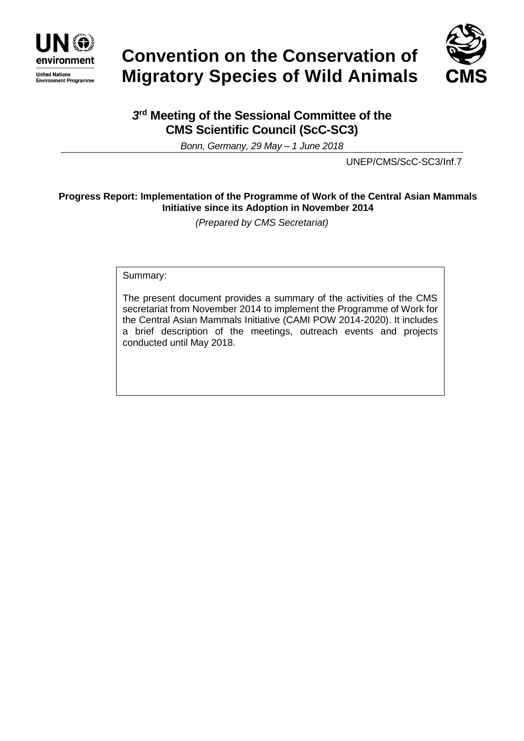

# **Convention on the Conservation of Migratory Species of Wild Animals**



# *3* **rd Meeting of the Sessional Committee of the CMS Scientific Council (ScC-SC3)**

*Bonn, Germany, 29 May – 1 June 2018*

UNEP/CMS/ScC-SC3/Inf.7

# **Progress Report: Implementation of the Programme of Work of the Central Asian Mammals Initiative since its Adoption in November 2014**

*(Prepared by CMS Secretariat)*

Summary:

The present document provides a summary of the activities of the CMS secretariat from November 2014 to implement the Programme of Work for the Central Asian Mammals Initiative (CAMI POW 2014-2020). It includes a brief description of the meetings, outreach events and projects conducted until May 2018.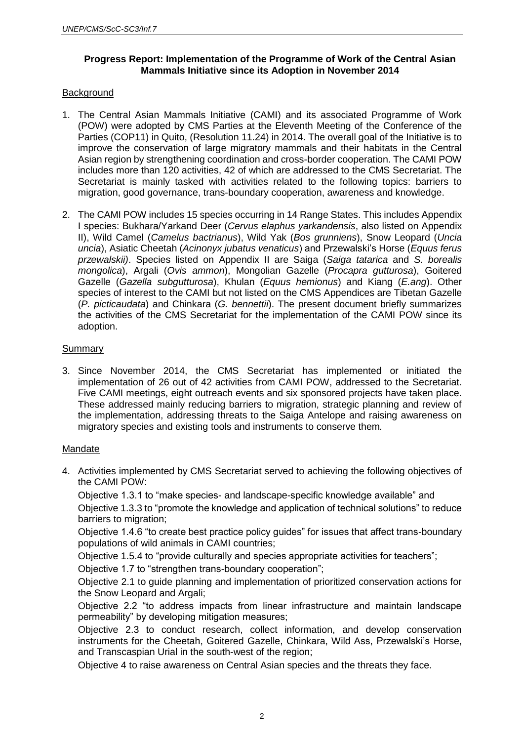# **Progress Report: Implementation of the Programme of Work of the Central Asian Mammals Initiative since its Adoption in November 2014**

# **Background**

- 1. The Central Asian Mammals Initiative (CAMI) and its associated Programme of Work (POW) were adopted by CMS Parties at the Eleventh Meeting of the Conference of the Parties (COP11) in Quito, (Resolution 11.24) in 2014. The overall goal of the Initiative is to improve the conservation of large migratory mammals and their habitats in the Central Asian region by strengthening coordination and cross-border cooperation. The CAMI POW includes more than 120 activities, 42 of which are addressed to the CMS Secretariat. The Secretariat is mainly tasked with activities related to the following topics: barriers to migration, good governance, trans-boundary cooperation, awareness and knowledge.
- 2. The CAMI POW includes 15 species occurring in 14 Range States. This includes Appendix I species: Bukhara/Yarkand Deer (*Cervus elaphus yarkandensis*, also listed on Appendix II), Wild Camel (*Camelus bactrianus*), Wild Yak (*Bos grunniens*), Snow Leopard (*Uncia uncia*), Asiatic Cheetah (*Acinonyx jubatus venaticus*) and Przewalski's Horse (*Equus ferus przewalskii)*. Species listed on Appendix II are Saiga (*Saiga tatarica* and *S. borealis mongolica*), Argali (*Ovis ammon*), Mongolian Gazelle (*Procapra gutturosa*), Goitered Gazelle (*Gazella subgutturosa*), Khulan (*Equus hemionus*) and Kiang (*E.ang*). Other species of interest to the CAMI but not listed on the CMS Appendices are Tibetan Gazelle (*P. picticaudata*) and Chinkara (*G. bennettii*). The present document briefly summarizes the activities of the CMS Secretariat for the implementation of the CAMI POW since its adoption.

# Summary

3. Since November 2014, the CMS Secretariat has implemented or initiated the implementation of 26 out of 42 activities from CAMI POW, addressed to the Secretariat. Five CAMI meetings, eight outreach events and six sponsored projects have taken place. These addressed mainly reducing barriers to migration, strategic planning and review of the implementation, addressing threats to the Saiga Antelope and raising awareness on migratory species and existing tools and instruments to conserve them*.* 

# Mandate

4. Activities implemented by CMS Secretariat served to achieving the following objectives of the CAMI POW:

Objective 1.3.1 to "make species- and landscape-specific knowledge available" and

Objective 1.3.3 to "promote the knowledge and application of technical solutions" to reduce barriers to migration;

Objective 1.4.6 "to create best practice policy guides" for issues that affect trans-boundary populations of wild animals in CAMI countries;

Objective 1.5.4 to "provide culturally and species appropriate activities for teachers";

Objective 1.7 to "strengthen trans-boundary cooperation";

Objective 2.1 to guide planning and implementation of prioritized conservation actions for the Snow Leopard and Argali;

Objective 2.2 "to address impacts from linear infrastructure and maintain landscape permeability" by developing mitigation measures;

Objective 2.3 to conduct research, collect information, and develop conservation instruments for the Cheetah, Goitered Gazelle, Chinkara, Wild Ass, Przewalski's Horse, and Transcaspian Urial in the south-west of the region;

Objective 4 to raise awareness on Central Asian species and the threats they face.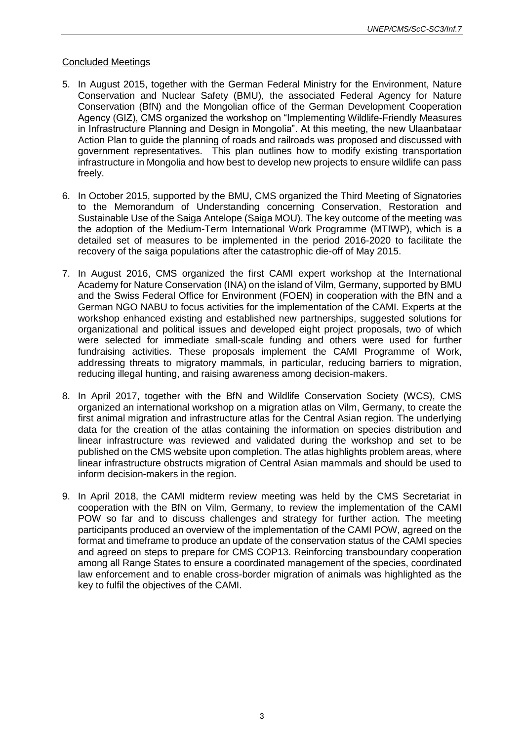#### Concluded Meetings

- 5. In August 2015, together with the German Federal Ministry for the Environment, Nature Conservation and Nuclear Safety (BMU), the associated Federal Agency for Nature Conservation (BfN) and the Mongolian office of the German Development Cooperation Agency (GIZ), CMS organized the workshop on "Implementing Wildlife-Friendly Measures in Infrastructure Planning and Design in Mongolia". At this meeting, the new Ulaanbataar Action Plan to guide the planning of roads and railroads was proposed and discussed with government representatives. This plan outlines how to modify existing transportation infrastructure in Mongolia and how best to develop new projects to ensure wildlife can pass freely.
- 6. In October 2015, supported by the BMU, CMS organized the Third Meeting of Signatories to the Memorandum of Understanding concerning Conservation, Restoration and Sustainable Use of the Saiga Antelope (Saiga MOU). The key outcome of the meeting was the adoption of the Medium-Term International Work Programme (MTIWP), which is a detailed set of measures to be implemented in the period 2016-2020 to facilitate the recovery of the saiga populations after the catastrophic die-off of May 2015.
- 7. In August 2016, CMS organized the first CAMI expert workshop at the International Academy for Nature Conservation (INA) on the island of Vilm, Germany, supported by BMU and the Swiss Federal Office for Environment (FOEN) in cooperation with the BfN and a German NGO NABU to focus activities for the implementation of the CAMI. Experts at the workshop enhanced existing and established new partnerships, suggested solutions for organizational and political issues and developed eight project proposals, two of which were selected for immediate small-scale funding and others were used for further fundraising activities. These proposals implement the CAMI Programme of Work, addressing threats to migratory mammals, in particular, reducing barriers to migration, reducing illegal hunting, and raising awareness among decision-makers.
- 8. In April 2017, together with the BfN and Wildlife Conservation Society (WCS), CMS organized an international workshop on a migration atlas on Vilm, Germany, to create the first animal migration and infrastructure atlas for the Central Asian region. The underlying data for the creation of the atlas containing the information on species distribution and linear infrastructure was reviewed and validated during the workshop and set to be published on the CMS website upon completion. The atlas highlights problem areas, where linear infrastructure obstructs migration of Central Asian mammals and should be used to inform decision-makers in the region.
- 9. In April 2018, the CAMI midterm review meeting was held by the CMS Secretariat in cooperation with the BfN on Vilm, Germany, to review the implementation of the CAMI POW so far and to discuss challenges and strategy for further action. The meeting participants produced an overview of the implementation of the CAMI POW, agreed on the format and timeframe to produce an update of the conservation status of the CAMI species and agreed on steps to prepare for CMS COP13. Reinforcing transboundary cooperation among all Range States to ensure a coordinated management of the species, coordinated law enforcement and to enable cross-border migration of animals was highlighted as the key to fulfil the objectives of the CAMI.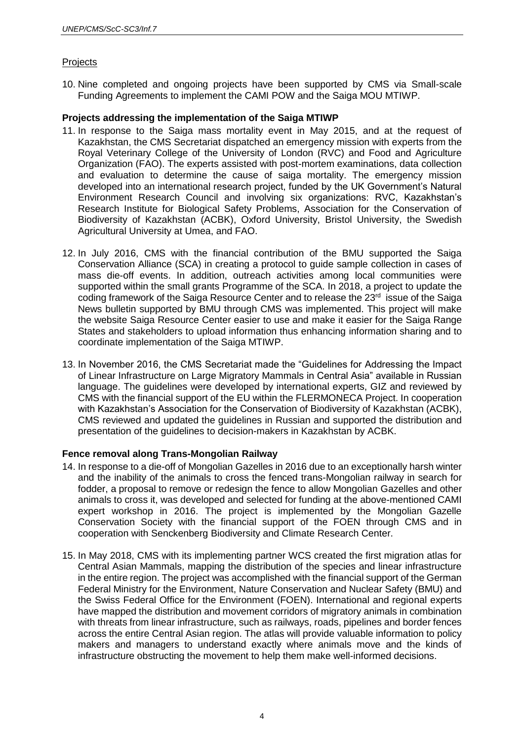# Projects

10. Nine completed and ongoing projects have been supported by CMS via Small-scale Funding Agreements to implement the CAMI POW and the Saiga MOU MTIWP.

# **Projects addressing the implementation of the Saiga MTIWP**

- 11. In response to the Saiga mass mortality event in May 2015, and at the request of Kazakhstan, the CMS Secretariat dispatched an emergency mission with experts from the Royal Veterinary College of the University of London (RVC) and Food and Agriculture Organization (FAO). The experts assisted with post-mortem examinations, data collection and evaluation to determine the cause of saiga mortality. The emergency mission developed into an international research project, funded by the UK Government's Natural Environment Research Council and involving six organizations: RVC, Kazakhstan's Research Institute for Biological Safety Problems, Association for the Conservation of Biodiversity of Kazakhstan (ACBK), Oxford University, Bristol University, the Swedish Agricultural University at Umea, and FAO.
- 12. In July 2016, CMS with the financial contribution of the BMU supported the Saiga Conservation Alliance (SCA) in creating a protocol to guide sample collection in cases of mass die-off events. In addition, outreach activities among local communities were supported within the small grants Programme of the SCA. In 2018, a project to update the coding framework of the Saiga Resource Center and to release the 23<sup>rd</sup> issue of the Saiga News bulletin supported by BMU through CMS was implemented. This project will make the website Saiga Resource Center easier to use and make it easier for the Saiga Range States and stakeholders to upload information thus enhancing information sharing and to coordinate implementation of the Saiga MTIWP.
- 13. In November 2016, the CMS Secretariat made the "Guidelines for Addressing the Impact of Linear Infrastructure on Large Migratory Mammals in Central Asia" available in Russian language. The guidelines were developed by international experts, GIZ and reviewed by CMS with the financial support of the EU within the FLERMONECA Project. In cooperation with Kazakhstan's Association for the Conservation of Biodiversity of Kazakhstan (ACBK), CMS reviewed and updated the guidelines in Russian and supported the distribution and presentation of the guidelines to decision-makers in Kazakhstan by ACBK.

# **Fence removal along Trans-Mongolian Railway**

- 14. In response to a die-off of Mongolian Gazelles in 2016 due to an exceptionally harsh winter and the inability of the animals to cross the fenced trans-Mongolian railway in search for fodder, a proposal to remove or redesign the fence to allow Mongolian Gazelles and other animals to cross it, was developed and selected for funding at the above-mentioned CAMI expert workshop in 2016. The project is implemented by the Mongolian Gazelle Conservation Society with the financial support of the FOEN through CMS and in cooperation with Senckenberg Biodiversity and Climate Research Center.
- 15. In May 2018, CMS with its implementing partner WCS created the first migration atlas for Central Asian Mammals, mapping the distribution of the species and linear infrastructure in the entire region. The project was accomplished with the financial support of the German Federal Ministry for the Environment, Nature Conservation and Nuclear Safety (BMU) and the Swiss Federal Office for the Environment (FOEN). International and regional experts have mapped the distribution and movement corridors of migratory animals in combination with threats from linear infrastructure, such as railways, roads, pipelines and border fences across the entire Central Asian region. The atlas will provide valuable information to policy makers and managers to understand exactly where animals move and the kinds of infrastructure obstructing the movement to help them make well-informed decisions.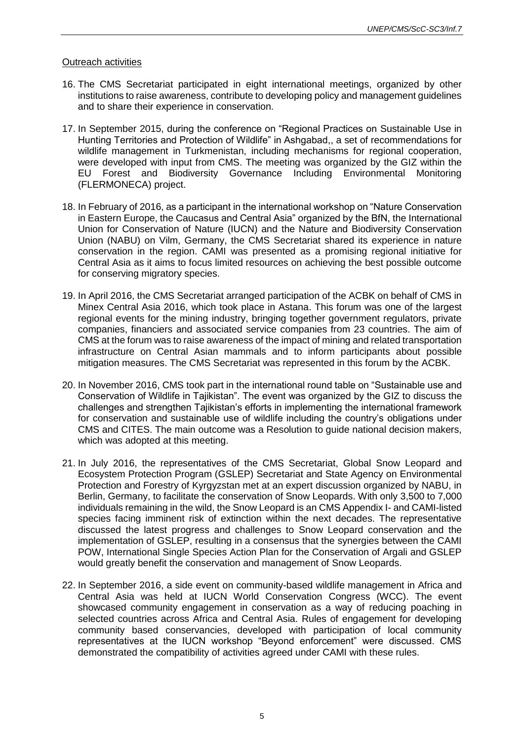#### Outreach activities

- 16. The CMS Secretariat participated in eight international meetings, organized by other institutions to raise awareness, contribute to developing policy and management guidelines and to share their experience in conservation.
- 17. In September 2015, during the conference on "Regional Practices on Sustainable Use in Hunting Territories and Protection of Wildlife" in Ashgabad,, a set of recommendations for wildlife management in Turkmenistan, including mechanisms for regional cooperation, were developed with input from CMS. The meeting was organized by the GIZ within the EU Forest and Biodiversity Governance Including Environmental Monitoring (FLERMONECA) project.
- 18. In February of 2016, as a participant in the international workshop on "Nature Conservation in Eastern Europe, the Caucasus and Central Asia" organized by the BfN, the International Union for Conservation of Nature (IUCN) and the Nature and Biodiversity Conservation Union (NABU) on Vilm, Germany, the CMS Secretariat shared its experience in nature conservation in the region. CAMI was presented as a promising regional initiative for Central Asia as it aims to focus limited resources on achieving the best possible outcome for conserving migratory species.
- 19. In April 2016, the CMS Secretariat arranged participation of the ACBK on behalf of CMS in Minex Central Asia 2016, which took place in Astana. This forum was one of the largest regional events for the mining industry, bringing together government regulators, private companies, financiers and associated service companies from 23 countries. The aim of CMS at the forum was to raise awareness of the impact of mining and related transportation infrastructure on Central Asian mammals and to inform participants about possible mitigation measures. The CMS Secretariat was represented in this forum by the ACBK.
- 20. In November 2016, CMS took part in the international round table on "Sustainable use and Conservation of Wildlife in Tajikistan". The event was organized by the GIZ to discuss the challenges and strengthen Tajikistan's efforts in implementing the international framework for conservation and sustainable use of wildlife including the country's obligations under CMS and CITES. The main outcome was a Resolution to guide national decision makers, which was adopted at this meeting.
- 21. In July 2016, the representatives of the CMS Secretariat, Global Snow Leopard and Ecosystem Protection Program (GSLEP) Secretariat and State Agency on Environmental Protection and Forestry of Kyrgyzstan met at an expert discussion organized by NABU, in Berlin, Germany, to facilitate the conservation of Snow Leopards. With only 3,500 to 7,000 individuals remaining in the wild, the Snow Leopard is an CMS Appendix I- and CAMI-listed species facing imminent risk of extinction within the next decades. The representative discussed the latest progress and challenges to Snow Leopard conservation and the implementation of GSLEP, resulting in a consensus that the synergies between the CAMI POW, International Single Species Action Plan for the Conservation of Argali and GSLEP would greatly benefit the conservation and management of Snow Leopards.
- 22. In September 2016, a side event on community-based wildlife management in Africa and Central Asia was held at IUCN World Conservation Congress (WCC). The event showcased community engagement in conservation as a way of reducing poaching in selected countries across Africa and Central Asia. Rules of engagement for developing community based conservancies, developed with participation of local community representatives at the IUCN workshop "Beyond enforcement" were discussed. CMS demonstrated the compatibility of activities agreed under CAMI with these rules.